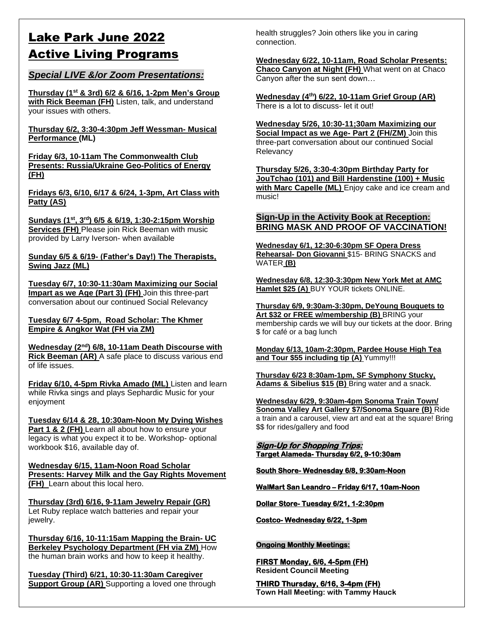# Lake Park June 2022 Active Living Programs

#### *Special LIVE &/or Zoom Presentations:*

**Thursday (1st & 3rd) 6/2 & 6/16, 1-2pm Men's Group with Rick Beeman (FH)** Listen, talk, and understand your issues with others.

**Thursday 6/2, 3:30-4:30pm Jeff Wessman- Musical Performance (ML)** 

**Friday 6/3, 10-11am The Commonwealth Club Presents: Russia/Ukraine Geo-Politics of Energy (FH)**

**Fridays 6/3, 6/10, 6/17 & 6/24, 1-3pm, Art Class with Patty (AS)**

**Sundays (1st, 3rd) 6/5 & 6/19, 1:30-2:15pm Worship Services (FH)** Please join Rick Beeman with music provided by Larry Iverson- when available

#### **Sunday 6/5 & 6/19- (Father's Day!) The Therapists, Swing Jazz (ML)**

**Tuesday 6/7, 10:30-11:30am Maximizing our Social Impart as we Age (Part 3) (FH)** Join this three-part conversation about our continued Social Relevancy

**Tuesday 6/7 4-5pm, Road Scholar: The Khmer Empire & Angkor Wat (FH via ZM)** 

**Wednesday (2nd) 6/8, 10-11am Death Discourse with Rick Beeman (AR)** A safe place to discuss various end of life issues.

**Friday 6/10, 4-5pm Rivka Amado (ML)** Listen and learn while Rivka sings and plays Sephardic Music for your enjoyment

**Tuesday 6/14 & 28, 10:30am-Noon My Dying Wishes Part 1 & 2 (FH)** Learn all about how to ensure your legacy is what you expect it to be. Workshop- optional workbook \$16, available day of.

**Wednesday 6/15, 11am-Noon Road Scholar Presents: Harvey Milk and the Gay Rights Movement (FH)** Learn about this local hero.

**Thursday (3rd) 6/16, 9-11am Jewelry Repair (GR)**  Let Ruby replace watch batteries and repair your jewelry.

**Thursday 6/16, 10-11:15am Mapping the Brain- UC Berkeley Psychology Department (FH via ZM)** How the human brain works and how to keep it healthy.

**Tuesday (Third) 6/21, 10:30-11:30am Caregiver Support Group (AR)** Supporting a loved one through health struggles? Join others like you in caring connection.

**Wednesday 6/22, 10-11am, Road Scholar Presents: Chaco Canyon at Night (FH)** What went on at Chaco Canyon after the sun sent down…

**Wednesday (4th) 6/22, 10-11am Grief Group (AR)**  There is a lot to discuss- let it out!

**Wednesday 5/26, 10:30-11;30am Maximizing our Social Impact as we Age- Part 2 (FH/ZM)** Join this three-part conversation about our continued Social **Relevancy** 

**Thursday 5/26, 3:30-4:30pm Birthday Party for JouTchao (101) and Bill Hardenstine (100) + Music with Marc Capelle (ML)** Enjoy cake and ice cream and music!

#### **Sign-Up in the Activity Book at Reception: BRING MASK AND PROOF OF VACCINATION!**

**Wednesday 6/1, 12:30-6:30pm SF Opera Dress Rehearsal- Don Giovanni** \$15- BRING SNACKS and WATER **(B)**

**Wednesday 6/8, 12:30-3:30pm New York Met at AMC Hamlet \$25 (A)** BUY YOUR tickets ONLINE.

**Thursday 6/9, 9:30am-3:30pm, DeYoung Bouquets to Art \$32 or FREE w/membership (B)** BRING your membership cards we will buy our tickets at the door. Bring \$ for café or a bag lunch

**Monday 6/13, 10am-2:30pm, Pardee House High Tea and Tour \$55 including tip (A)** Yummy!!!

**Thursday 6/23 8:30am-1pm, SF Symphony Stucky, Adams & Sibelius \$15 (B)** Bring water and a snack.

**Wednesday 6/29, 9:30am-4pm Sonoma Train Town/ Sonoma Valley Art Gallery \$7/Sonoma Square (B)** Ride a train and a carousel, view art and eat at the square! Bring \$\$ for rides/gallery and food

#### **Sign-Up for Shopping Trips: Target Alameda- Thursday 6/2, 9-10:30am**

**South Shore- Wednesday 6/8, 9:30am-Noon** 

**WalMart San Leandro – Friday 6/17, 10am-Noon** 

**Dollar Store- Tuesday 6/21, 1-2:30pm** 

**Costco- Wednesday 6/22, 1-3pm** 

#### **Ongoing Monthly Meetings:**

**FIRST Monday, 6/6, 4-5pm (FH) Resident Council Meeting**

**THIRD Thursday, 6/16, 3-4pm (FH) Town Hall Meeting: with Tammy Hauck**